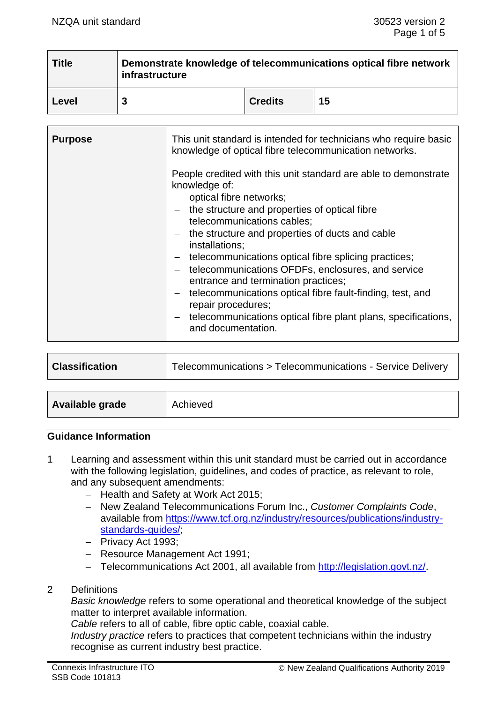| <b>Title</b> | Demonstrate knowledge of telecommunications optical fibre network<br>infrastructure |                |    |
|--------------|-------------------------------------------------------------------------------------|----------------|----|
| Level        | 3                                                                                   | <b>Credits</b> | 15 |

| <b>Purpose</b> | This unit standard is intended for technicians who require basic<br>knowledge of optical fibre telecommunication networks.<br>People credited with this unit standard are able to demonstrate<br>knowledge of:<br>- optical fibre networks;<br>the structure and properties of optical fibre<br>telecommunications cables;<br>$-$ the structure and properties of ducts and cable<br>installations;<br>telecommunications optical fibre splicing practices;<br>$\overline{\phantom{m}}$<br>telecommunications OFDFs, enclosures, and service<br>entrance and termination practices;<br>telecommunications optical fibre fault-finding, test, and<br>$ \,$<br>repair procedures;<br>telecommunications optical fibre plant plans, specifications,<br>$\overline{\phantom{0}}$<br>and documentation. |
|----------------|----------------------------------------------------------------------------------------------------------------------------------------------------------------------------------------------------------------------------------------------------------------------------------------------------------------------------------------------------------------------------------------------------------------------------------------------------------------------------------------------------------------------------------------------------------------------------------------------------------------------------------------------------------------------------------------------------------------------------------------------------------------------------------------------------|
|----------------|----------------------------------------------------------------------------------------------------------------------------------------------------------------------------------------------------------------------------------------------------------------------------------------------------------------------------------------------------------------------------------------------------------------------------------------------------------------------------------------------------------------------------------------------------------------------------------------------------------------------------------------------------------------------------------------------------------------------------------------------------------------------------------------------------|

| <b>Classification</b> | Telecommunications > Telecommunications - Service Delivery |
|-----------------------|------------------------------------------------------------|
|                       |                                                            |

| Available grade | Achieved |
|-----------------|----------|
|-----------------|----------|

#### **Guidance Information**

- 1 Learning and assessment within this unit standard must be carried out in accordance with the following legislation, guidelines, and codes of practice, as relevant to role, and any subsequent amendments:
	- − Health and Safety at Work Act 2015;
	- − New Zealand Telecommunications Forum Inc., *Customer Complaints Code*, available from [https://www.tcf.org.nz/industry/resources/publications/industry](https://www.tcf.org.nz/industry/resources/publications/industry-standards-guides/)[standards-guides/;](https://www.tcf.org.nz/industry/resources/publications/industry-standards-guides/)
	- − Privacy Act 1993;
	- − Resource Management Act 1991;
	- − Telecommunications Act 2001, all available from [http://legislation.govt.nz/.](http://legislation.govt.nz/)
- 2 Definitions

*Basic knowledge* refers to some operational and theoretical knowledge of the subject matter to interpret available information.

*Cable* refers to all of cable, fibre optic cable, coaxial cable.

*Industry practice* refers to practices that competent technicians within the industry recognise as current industry best practice.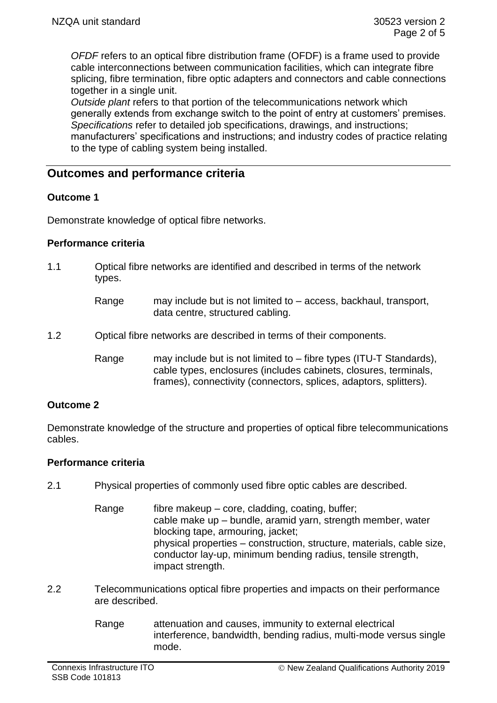*OFDF* refers to an optical fibre distribution frame (OFDF) is a frame used to provide cable interconnections between communication facilities, which can integrate fibre splicing, fibre termination, fibre optic adapters and connectors and cable connections together in a single unit.

*Outside plant* refers to that portion of the telecommunications network which generally extends from exchange switch to the point of entry at customers' premises. *Specifications* refer to detailed job specifications, drawings, and instructions; manufacturers' specifications and instructions; and industry codes of practice relating to the type of cabling system being installed.

# **Outcomes and performance criteria**

#### **Outcome 1**

Demonstrate knowledge of optical fibre networks.

#### **Performance criteria**

- 1.1 Optical fibre networks are identified and described in terms of the network types.
	- Range may include but is not limited to access, backhaul, transport, data centre, structured cabling.
- 1.2 Optical fibre networks are described in terms of their components.
	- Range may include but is not limited to fibre types (ITU-T Standards), cable types, enclosures (includes cabinets, closures, terminals, frames), connectivity (connectors, splices, adaptors, splitters).

#### **Outcome 2**

Demonstrate knowledge of the structure and properties of optical fibre telecommunications cables.

#### **Performance criteria**

- 2.1 Physical properties of commonly used fibre optic cables are described.
	- Range  $\qquad$  fibre makeup core, cladding, coating, buffer; cable make up – bundle, aramid yarn, strength member, water blocking tape, armouring, jacket; physical properties – construction, structure, materials, cable size, conductor lay-up, minimum bending radius, tensile strength, impact strength.
- 2.2 Telecommunications optical fibre properties and impacts on their performance are described.
	- Range attenuation and causes, immunity to external electrical interference, bandwidth, bending radius, multi-mode versus single mode.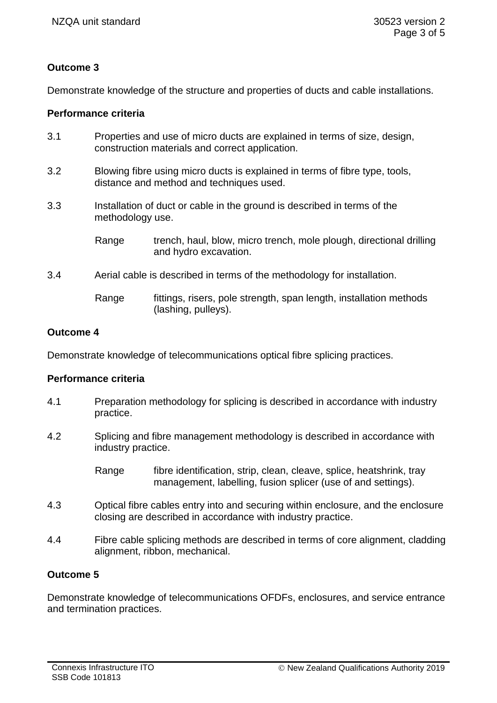# **Outcome 3**

Demonstrate knowledge of the structure and properties of ducts and cable installations.

## **Performance criteria**

- 3.1 Properties and use of micro ducts are explained in terms of size, design, construction materials and correct application.
- 3.2 Blowing fibre using micro ducts is explained in terms of fibre type, tools, distance and method and techniques used.
- 3.3 Installation of duct or cable in the ground is described in terms of the methodology use.
	- Range trench, haul, blow, micro trench, mole plough, directional drilling and hydro excavation.
- 3.4 Aerial cable is described in terms of the methodology for installation.
	- Range fittings, risers, pole strength, span length, installation methods (lashing, pulleys).

## **Outcome 4**

Demonstrate knowledge of telecommunications optical fibre splicing practices.

#### **Performance criteria**

- 4.1 Preparation methodology for splicing is described in accordance with industry practice.
- 4.2 Splicing and fibre management methodology is described in accordance with industry practice.
	- Range fibre identification, strip, clean, cleave, splice, heatshrink, tray management, labelling, fusion splicer (use of and settings).
- 4.3 Optical fibre cables entry into and securing within enclosure, and the enclosure closing are described in accordance with industry practice.
- 4.4 Fibre cable splicing methods are described in terms of core alignment, cladding alignment, ribbon, mechanical.

## **Outcome 5**

Demonstrate knowledge of telecommunications OFDFs, enclosures, and service entrance and termination practices.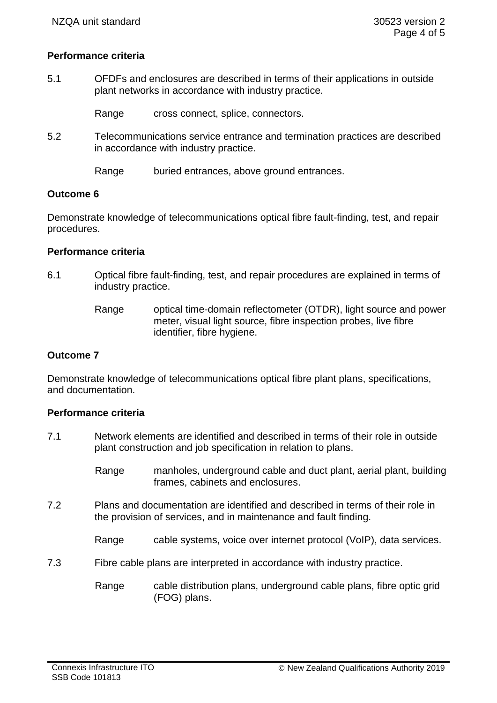### **Performance criteria**

5.1 OFDFs and enclosures are described in terms of their applications in outside plant networks in accordance with industry practice.

Range cross connect, splice, connectors.

5.2 Telecommunications service entrance and termination practices are described in accordance with industry practice.

Range buried entrances, above ground entrances.

#### **Outcome 6**

Demonstrate knowledge of telecommunications optical fibre fault-finding, test, and repair procedures.

#### **Performance criteria**

- 6.1 Optical fibre fault-finding, test, and repair procedures are explained in terms of industry practice.
	- Range optical time-domain reflectometer (OTDR), light source and power meter, visual light source, fibre inspection probes, live fibre identifier, fibre hygiene.

#### **Outcome 7**

Demonstrate knowledge of telecommunications optical fibre plant plans, specifications, and documentation.

#### **Performance criteria**

- 7.1 Network elements are identified and described in terms of their role in outside plant construction and job specification in relation to plans.
	- Range manholes, underground cable and duct plant, aerial plant, building frames, cabinets and enclosures.
- 7.2 Plans and documentation are identified and described in terms of their role in the provision of services, and in maintenance and fault finding.
	- Range cable systems, voice over internet protocol (VoIP), data services.
- 7.3 Fibre cable plans are interpreted in accordance with industry practice.
	- Range cable distribution plans, underground cable plans, fibre optic grid (FOG) plans.